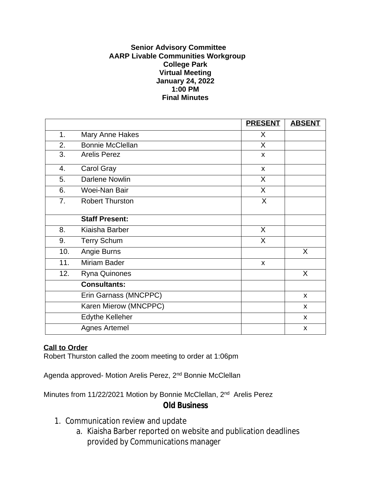## **Senior Advisory Committee AARP Livable Communities Workgroup College Park Virtual Meeting January 24, 2022 1:00 PM Final Minutes**

|                  |                         | <b>PRESENT</b> | <b>ABSENT</b>             |
|------------------|-------------------------|----------------|---------------------------|
| 1.               | <b>Mary Anne Hakes</b>  | X              |                           |
| 2.               | <b>Bonnie McClellan</b> | X              |                           |
| $\overline{3}$ . | <b>Arelis Perez</b>     | $\mathsf{x}$   |                           |
| 4.               | Carol Gray              | $\mathsf{x}$   |                           |
| 5.               | <b>Darlene Nowlin</b>   | X              |                           |
| 6.               | Woei-Nan Bair           | $\sf X$        |                           |
| 7.               | <b>Robert Thurston</b>  | X              |                           |
|                  | <b>Staff Present:</b>   |                |                           |
| 8.               | Kiaisha Barber          | X              |                           |
| 9.               | <b>Terry Schum</b>      | X              |                           |
| 10.              | Angie Burns             |                | X                         |
| 11.              | <b>Miriam Bader</b>     | X              |                           |
| 12.              | Ryna Quinones           |                | X                         |
|                  | <b>Consultants:</b>     |                |                           |
|                  | Erin Garnass (MNCPPC)   |                | X                         |
|                  | Karen Mierow (MNCPPC)   |                | $\mathsf{x}$              |
|                  | <b>Edythe Kelleher</b>  |                | $\mathsf{x}$              |
|                  | <b>Agnes Artemel</b>    |                | $\boldsymbol{\mathsf{x}}$ |

## **Call to Order**

Robert Thurston called the zoom meeting to order at 1:06pm

Agenda approved- Motion Arelis Perez, 2nd Bonnie McClellan

Minutes from 11/22/2021 Motion by Bonnie McClellan, 2<sup>nd</sup> Arelis Perez **Old Business**

- 1. Communication review and update
	- a. Kiaisha Barber reported on website and publication deadlines provided by Communications manager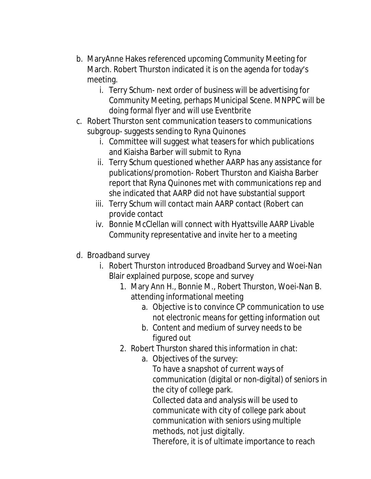- b. MaryAnne Hakes referenced upcoming Community Meeting for March. Robert Thurston indicated it is on the agenda for today's meeting.
	- i. Terry Schum- next order of business will be advertising for Community Meeting, perhaps Municipal Scene. MNPPC will be doing formal flyer and will use Eventbrite
- c. Robert Thurston sent communication teasers to communications subgroup- suggests sending to Ryna Quinones
	- i. Committee will suggest what teasers for which publications and Kiaisha Barber will submit to Ryna
	- ii. Terry Schum questioned whether AARP has any assistance for publications/promotion- Robert Thurston and Kiaisha Barber report that Ryna Quinones met with communications rep and she indicated that AARP did not have substantial support
	- iii. Terry Schum will contact main AARP contact (Robert can provide contact
	- iv. Bonnie McClellan will connect with Hyattsville AARP Livable Community representative and invite her to a meeting
- d. Broadband survey
	- i. Robert Thurston introduced Broadband Survey and Woei-Nan Blair explained purpose, scope and survey
		- 1. Mary Ann H., Bonnie M., Robert Thurston, Woei-Nan B. attending informational meeting
			- a. Objective is to convince CP communication to use not electronic means for getting information out
			- b. Content and medium of survey needs to be figured out
		- 2. Robert Thurston shared this information in chat:
			- a. Objectives of the survey:

To have a snapshot of current ways of communication (digital or non-digital) of seniors in the city of college park.

Collected data and analysis will be used to communicate with city of college park about communication with seniors using multiple methods, not just digitally.

Therefore, it is of ultimate importance to reach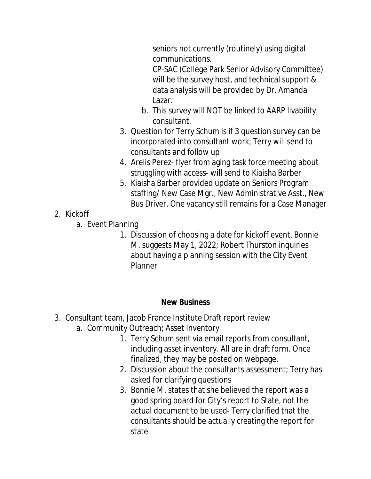seniors not currently (routinely) using digital communications.

CP-SAC (College Park Senior Advisory Committee) will be the survey host, and technical support & data analysis will be provided by Dr. Amanda Lazar.

- b. This survey will NOT be linked to AARP livability consultant.
- 3. Question for Terry Schum is if 3 question survey can be incorporated into consultant work; Terry will send to consultants and follow up
- 4. Arelis Perez- flyer from aging task force meeting about struggling with access- will send to Kiaisha Barber
- 5. Kiaisha Barber provided update on Seniors Program staffing/ New Case Mgr., New Administrative Asst., New Bus Driver. One vacancy still remains for a Case Manager
- 2. Kickoff
	- a. Event Planning
		- 1. Discussion of choosing a date for kickoff event, Bonnie M. suggests May 1, 2022; Robert Thurston inquiries about having a planning session with the City Event Planner

## **New Business**

- 3. Consultant team, Jacob France Institute Draft report review
	- a. Community Outreach; Asset Inventory
		- 1. Terry Schum sent via email reports from consultant, including asset inventory. All are in draft form. Once finalized, they may be posted on webpage.
		- 2. Discussion about the consultants assessment; Terry has asked for clarifying questions
		- 3. Bonnie M. states that she believed the report was a good spring board for City's report to State, not the actual document to be used- Terry clarified that the consultants should be actually creating the report for state